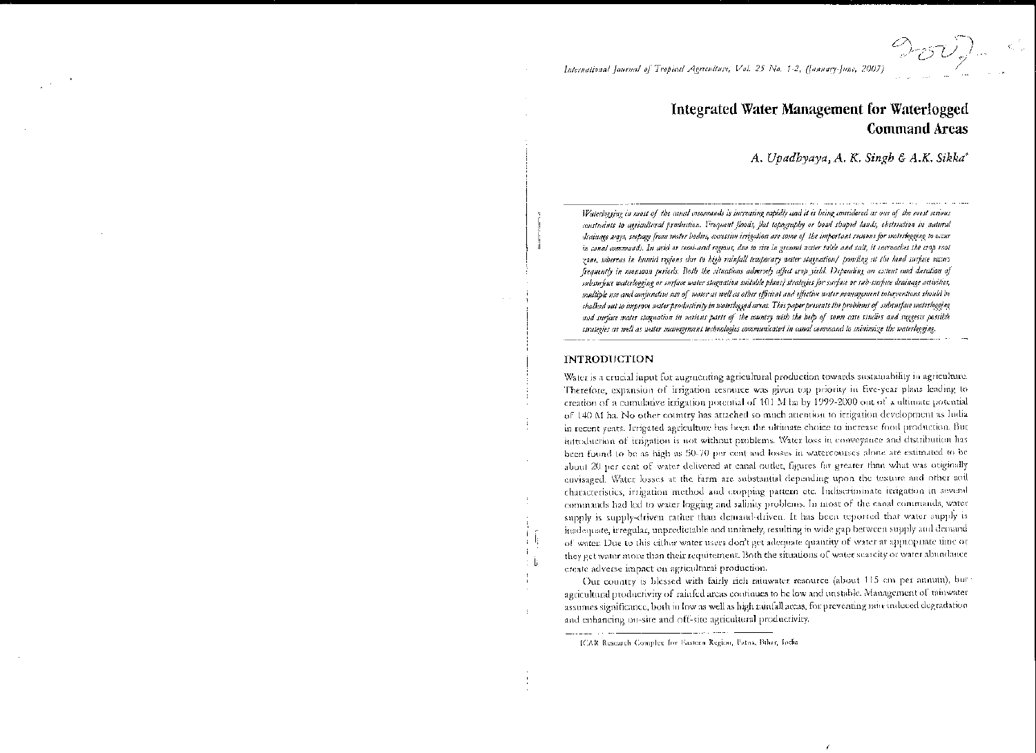International Journal of Tropical Agriculture, Vol. 25 No. 1-2, (January-June, 2007)

## Integrated Water Management for Waterlogged **Command Areas**

A. Upadhyaya, A. K. Singh & A.K. Sikka\*

Waterlogging in most of the canal commands is increasing rapidly and it is being considered as one of the most serious constraints to agricultural production. Frequent floods, flat topography or bowl shaped lands, obstruction in natural drainage ways, seepage from water bodies, excessive irrigation are some of the important reasons for waterlogging to occur in canal commands. In arid or semi-ared regions, due to rise in ground water table and salt, it encroaches the crop root zone, whereas in bumid regions due to high rainfall temporary water stagnation/ pouding at the land surface occurs frequently in monsoon periods. Both the situations adversely affect crop yield. Depending on extent and duration of subsurface waterlogging or sinface water stagnation suitable plans) strategies for surface or sub-surface drainage activities, multiple use and conjunctive use of water as well as other efficient and effective water management interventions should be chalked out to improve water productivity in waterlogged areas. This paper presents the problems of subsurface waterlogging and surface water stagnation in various parts of the country with the help of some case studies and suggests possible strategies as well as water management technologies communicated in canal command to minimize the waterlogging.

#### **INTRODUCTION**

Water is a crucial input for augmenting agricultural production towards sustainability in agriculture. Therefore, expansion of irrigation resource was given top priority in five-year plans leading to creation of a cumulative irrigation potential of 101 M ha by 1999-2000 out of a ultimate potential of 140 M ha. No other country has attached so much attention to irrigation development as India in recent years. Irrigated agriculture has been the ultimate choice to increase food production. But introduction of irrigation is not without problems. Water loss in convegance and distribution has been found to be as high as 50-70 per cent and losses in watercourses alone are estimated to be about 20 per cent of water delivered at canal outlet, figures far greater than what was originally envisaged. Water losses at the farm are substantial depending upon the texture and other soil characteristics, irrigation method and cropping pattern etc. Indiscriminate irrigation in several commands had led to water logging and salinity problems. In most of the canal commands, water supply is supply-driven rather than demand-driven. It has been reported that water supply is inadequate, irregular, unpredictable and untimely, resulting in wide gap between supply and demand of water. Due to this either water users don't get adequate quantity of water at appropriate time or they get water more than their requirement. Both the situations of water searcity or water abundance create adverse impact on agricultural production.

Our country is blessed with fairly rich rainwater resource (about 115 cm per annum), but agricultural productivity of rainfed areas continues to be low and unstable. Management of tainwater assumes significance, both in low as well as high rantall areas, for preventing rain-induced degradation and enhancing on-site and off-site agricultural productivity.

ICAR Research Complex for Eastern Region, Patna, Bihar, India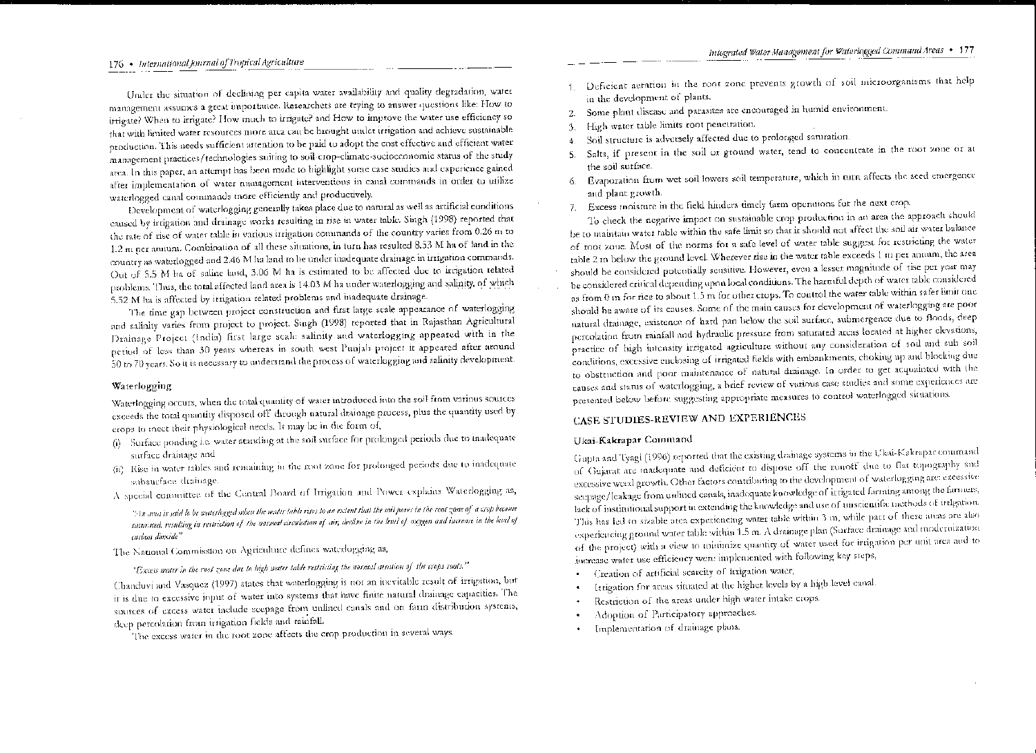### 176 • International Journal of Tropical Agriculture

Under the situation of declining per capita water availability and quality degradation, water management assumes a great importance. Researchers are trying to answer questions like: How to irrigate? When to irrigate? How much to irrigate? and How to improve the water use efficiency so that with limited water resources more area can be brought under irrigation and achieve sustainable production. This needs sufficient attention to be paid to adopt the cost effective and efficient water management practices/technologies suiting to soil crop-climate-socioeconomic status of the study atea. In this paper, an attempt has been made to highlight some case studies and experience gained after implementation of water management interventions in canal commands in order to utilize waterlogged canal commands more efficiently and productively.

Development of waterlogging generally takes place due to natural as well as artificial conditions caused by irrigation and drainage works resulting in rise in water table. Singh (1998) reported that the rate of rise of water table in various irrigation commands of the country varies from 0.26 m to 1.2 m per annum. Combination of all these situations, in turn has resulted 8.53 M ha of land in the country as waterlogged and 2.46 M ha land to be under inadequate drainage in irrigation commands. Out of 5.5 M ha of saline land, 3.06 M ha is estimated to be affected due to irrigation related problems. Thus, the total affected land area is 14.03 M ha under waterlogging and salinity, of which 5.52 M ha is affected by irrigation related problems and inadequate drainage.

The time gap between project construction and first large scale appearance of waterlogging and salinity varies from project to project. Singh (1998) reported that in Rajasthan Agricultural Drainage Project (India) first large scale salinity and waterlogging appeared with in the petiod of less than 30 years whereas in south west Punjah project it appeared after around 50 to 70 years. So it is necessary to understand the process of waterlogging and salinity development.

#### Waterlogging

Waterlogging occurs, when the total quantity of water introduced into the soil from various sources execeds the total quantity disposed off-dirough natural drainage process, plus the quantity used by crops to meet their physiological needs. It may be in the form of,

- (i) Surface ponding i.e. water standing at the soil surface for prolonged periods due to inadequate surface drainage and
- (ii) Rise in water tables and remaining in the root zone for prolonged periods due to inadequate subsurface drainage.
- A special committee of the Central Board of Irrigation and Power explains Waterlogging as,

". In area is said lo be waterlogged when the water table rises to an extent that the soil pores in the root zone of a crop become soturated, resulting in restriction of the normal circulation of air, decline in the level of oxygen and increase in the level of carbon dioxide"

The National Commission on Agriculture defines waterlogging as,

"Excess water in the root zone due to high water table restricting the normal aeration of the crops roots."

Chanduvi and Vasquez (1997) states that waterlogging is not an inevitable result of irrigation, but it is due to excessive input of water into systems that have finite natural drainage capacities. The sources of excess water include seepage from unlined canals and on farm distribution systems, deep petcolation from irrigation fields and rainfall.

The excess water in the root zone affects the crop production in several ways.

- Deficient aeration in the root zone prevents growth of soil microorganisms that help  $\mathbf{1}$ . in the development of plants.
- Some plant disease and parasites are encouraged in humid environment.  $2.$
- High water table limits root penetration. 3.
- Soil structure is adversely affected due to prolonged saturation. 漆.
- 5. Salts, if present in the soil or ground water, tend to concentrate in the root zone or at the soil surface.
- Evaporation from wet soil lowers soil temperature, which in turn affects the seed emergence 6. and plant growth.
- 7. Excess moisture in the field hinders timely farm operations for the next erop.

To check the negative impact on sustainable crop production in an area the approach should be to maintain water table within the safe limit so that it should not affect the soil air water balance of root zone. Most of the norms for a safe level of water table suggest for restricting the water table 2 in below the ground level. Wherever rise in the water table exceeds 1 in per annum, the area should be considered potentially sensitive. However, even a lesser magnitude of tise per year may be considered critical depending upon local conditions. The harmful depth of water table considered as from 0 in for rice to about 1.5 m for other crops. To control the water table within safer limit one should be aware of its causes. Some of the main causes for development of waterlogging are poor natural drainage, existence of hard pan below the soil surface, submergence due to floods, deep percolation from rainfall and hydraulic pressure from saturated areas located at higher clevations, practice of high intensity irrigated agriculture without any consideration of soil and sub soil conditions, excessive enclosing of irrigated fields with embankments, choking up and blocking due to obstruction and poor maintenance of natural drainage. In order to get acquainted with the causes and status of waterlogging, a brief review of various case studies and some experiences are presented below before suggesting appropriate measures to control waterlogged situations.

### CASE STUDIES-REVIEW AND EXPERIENCES

#### Ukai-Kakrapar Command

Gupta and Tyagi (1996) reported that the existing drainage systems in the Ukai-Kakrapar command of Gujarat are inadequate and deficient to dispose off the runoff due to flat topography and excessive weed growth. Other factors contributing to the development of waterlogging are: excessive seepage/leakage from unlined canals, inadequate knowledge of irrigated farming among the farmers, lack of institutional support in extending the knowledge and use of unscientific methods of irrigation. This has led to sizable atea experiencing water table within 3 m, while part of these areas are also experiencing ground water table within 1.5 m. A drainage plan (Surface drainage and modernization of the project) with a view to minimize quantity of water used for irrigation per unit area and to increase water use efficiency were implemented with following key steps,

- Creation of artificial scarcity of irrigation water,
- Ittigation for areas situated at the higher levels by a high level canal.
- Restriction of the areas under high water intake crops.
- Adoption of Participatory approaches.
- Implementation of drainage plans.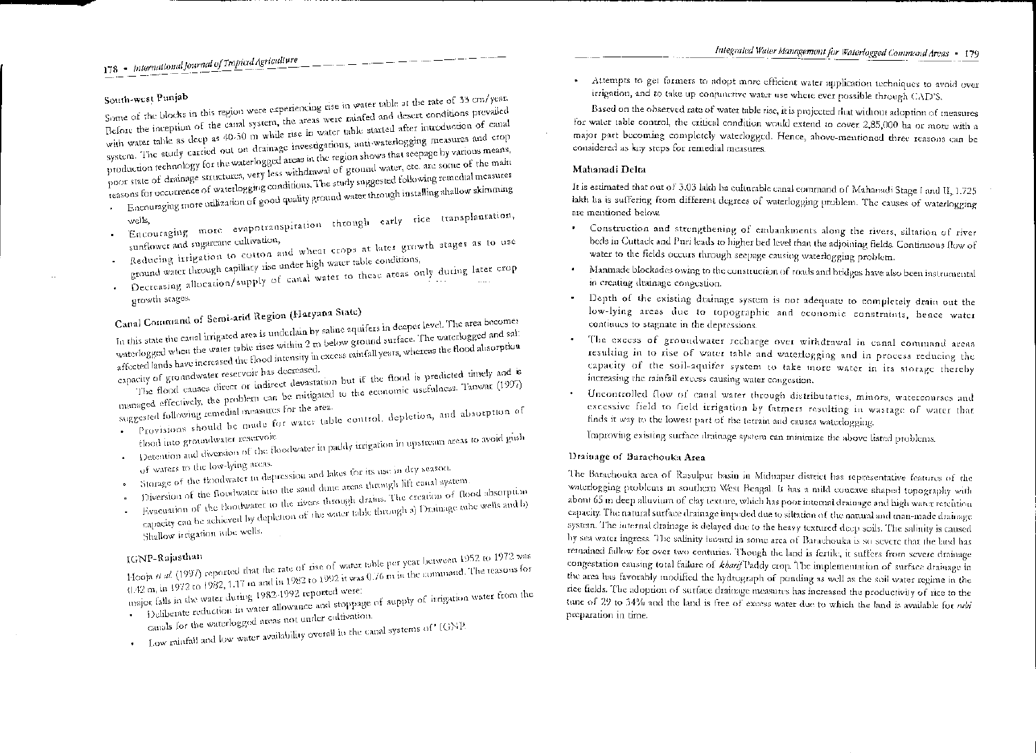## 178 - International Journal of Tropical Agriculture

### South-west Punjab

Some of the blocks in this region were experiencing rise in water table at the rate of 33 cm/year. Before the inception of the canal system, the areas were rainfed and desert conditions prevailed with water table as deep as 40-50 m while rise in water table started after introduction of canal system. The study carried out on drainage investigations, anti-waterlogging measures and crop production technology for the waterlogged areas in the region shows that scepage by various means, poor state of drainage structures, very less withdrawal of ground water, etc. are some of the main reasons for occurrence of waterlogging conditions. The study suggested following remedial measures . Encouraging more utilization of good quality ground water through installing shallow skimming

- Encouraging more evapotranspiration through early rice transplantation,
- sunflower and sugarcane cultivation, Reducing irrigation to cotton and wheat crops at later growth stages as to use
- ground water through capillary rise under high water table conditions, Decreasing allocation/supply of canal water to these areas only during later crop
- growth stages.

# Canal Command of Semi-arid Region (Haryana State)

In this state the canal irrigated area is underlain by saline aquifers in deeper level. The area becomes waterlogged when the water table rises within 2 m below ground surface. The waterlogged and salt affected lands have increased the flood intensity in excess minfall years, whereas the flood absorption

capacity of groundwater reservoir has decreased. The flood causes direct or indirect devastation but if the flood is predicted timely and is

managed effectively, the problem can be mitigated to the economic usefulness. Tanwar (1997)

- suggested following remedial measures for the area. Provisions should be made for water table control, depletion, and absorption of
- · Detention and diversion of the floodwater in paddy irrigation in upstream areas to avoid gush
- of waters to the low-lying areas. · Storage of the fioodwater in depression and lakes for its use in dry season.
- 
- Diversion of the floodwater into the sand dune areas through lift canal system.
- Evacuation of the floodwater to the rivers through drams. The creation of flood absorption expacity can be achieved by depletion of the water table through a) Drainage tabe wells and b) Shallow irrigation jube wells.

Hooja et al. (1997) reported that the rate of rise of water table per year between 1952 to 1972 was  $0.42$  m, in 1972 to 1982, 1.17 in and in 1982 to 1992 it was  $0.76$  m in the command. The reasons for

major falls in the water during 1982-1992 reported were: . Deliberate reduction in water allowance and stoppage of supply of irrigation water from the

- canals for the waterlogged areas not under cultivation. Low rainfall and low water availability overall in the canal systems of' IGNP.
- 

Attempts to get farmers to adopt more efficient water application techniques to avoid over irrigation, and to take up conjunctive water use where ever possible through CAD'S.

Based on the observed rate of water table rise, it is projected rhat widtout adoption of measures for water table control, the critical condition would extend to cover 2,85,000 ha or more with a maior part becoming completely waterlogged. Hence, above-mentioned three reasons can be considered as key steps for remedial measures.

### Mahanadi Delta

It is estimated that out of 3.03 lakh ha culturable canal command of Mahanadi Stage I and II, 1.725 lakh ha is suffering from different degrees of waterlogging problem. The causes of waterlogging are mentioned below.

- Construction and strengthening of embankments along the rivers, siltation of river beds in Cuttack and Puri leads to higher bed level than the adjoining fields. Continuous flow of water to the fields occurs through seepage causing waterlogging problem.
- Manmade blockades owing to the construction of roads and bridges have also been instrumental in creating drainage congestion.
- Depth of the existing drainage system is not adequate to completely drain out the low-lying areas due to topographic and economic constraints, hence water continues to stagnate in the depressions.
- The excess of groundwater recharge over withdrawal in canal command areas resulting in to rise of water table and waterlogging and in process reducing the capacity of the soil-aquifer system to take more water in its storage thereby increasing the rainfall excess causing water congestion.
- Uncontrolled flow of caual water through distributaties, minors, watercourses and excessive field to field irrigation by farmers resulting in wastage of water that finds it way to the lowest part of the terrain and causes waterlogging.

Improving existing surface drainage system can minimize the above listed problems.

### Drainage of Barachouka Area

The Barachouka area of Rasulpur basin in Miduapur district has representative features of the waterlogging problems in southern West Bengal. It has a mild concave shaped topography with about 65 m deep alluvium of clay texture, which has poor internal drainage and high water retention capacity. The natural surface drainage impeded due to siltation of the natural and man-made drainage system. The internal drainage is delayed due to the heavy textured deep soils. The salinity is caused by sea water ingress. The salinity hazard in some area of Barachouka is so severe that the land has remained fallow for over two centuries. Though the land is fertile, it suffers from severe drainage congestation causing total failure of kbarif Paddy crop. The implementation of surface dramage in the area has favorably modified the hydrograph of ponding as well as the soil water regime in the rice fields. The adoption of surface drainage measures has increased the productivity of rice to the tune of 29 to 34% and the land is free of excess water due to which the land is available for *mbi* preparation in time.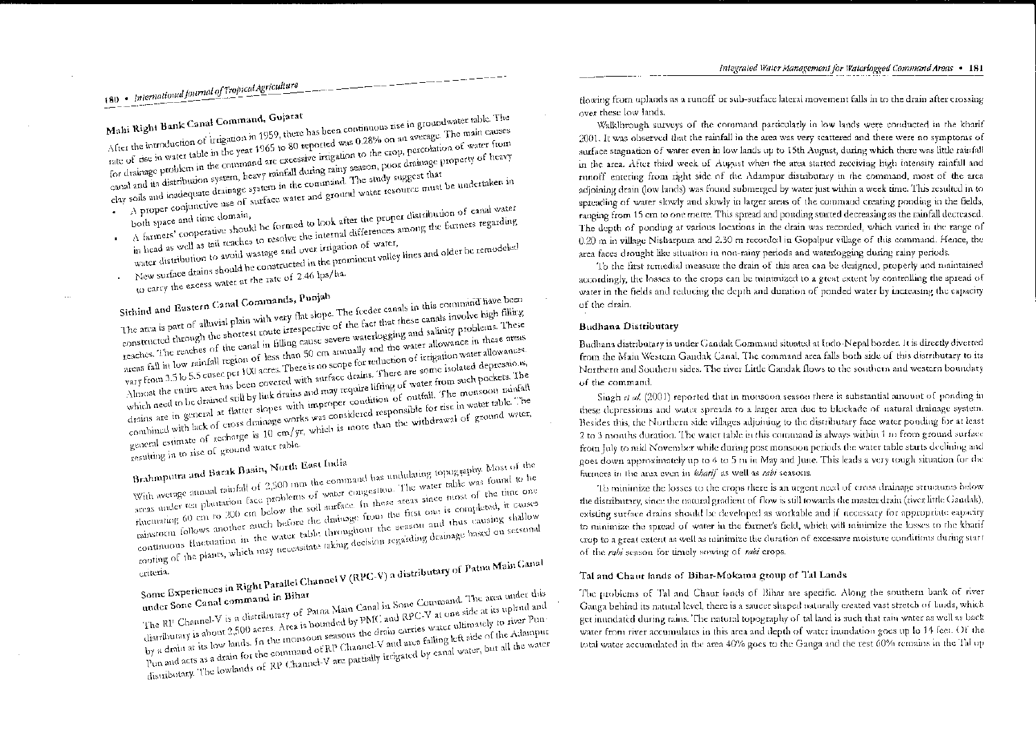# 180 • International Journal of Tropical Agriculture

Mahi Right Bank Canal Command, Gujarat After the introduction of trtigation in 1959, there has been continuous rise in groundwater table. The rate of rise in water table in the year 1965 to 80 reported was 0.28% on an average. The main causes for drainage problem in the command are excessive irrigation to the erop, percolation of water from canal and its distribution system, heavy rainfall during rainy season, poor drainage property of heavy

clay soils and inadequate drainage system in the command. The study suggest that A proper conjunctive use of surface water and ground water resource must be undertaken in

- A farmers' cooperative should be formed to look after the proper distribution of canal water in head as well as tail reaches to resolve the internal differences among the farmers regarding
- water distribution to avoid wastage and over irrigation of water, New surface drains should be constructed in the prominent valley lines and older he remodeled
- to carry the excess water at the rate of 2.46 lps/ha. ¥.

Sithind and Eastern Canal Commands, Punjah The area is part of alluvial plain with very flat slope. The feeder canals in this command have been constructed through the shortest route irrespective of the fact that these canals involve high filling reaches. The reaches of the canal in filling cause severe waterlogging and salinity problems. These areas fall in low rainfall region of less than 50 cm amoually and the water allowance in these areas vary from 3.5 to 5.5 cused per 100 acres. There is no scope for reduction of irrigation water allowances. Almost the entire area has been covered with surface drains. There are some isolated depressions, which need to be drained still by link drains and may require lifting of water from such pockets. The drains are in general at flatter slopes with improper condition of outfall. The monsoon rainfall combined with lack of cross drainage works was considered responsible for rise in water table. The general estimate of recharge is 10 cm/gr, which is more than the withdrawal of ground water,

resulting in to rise of ground water table.

Brahmputra and Barak Basin, North East India With average amual rainfall of 2,500 mm the command has undulating topography. Most of the areas under tea plantation face problems of water congestion. The water table was found to be fluctuating 60 cm to 200 cm below the soil surface. In these areas since most of the time one rainstorm follows another much before the drainage from the first one is completed, it causes continuous fluctuation in the water table throughout the season and thus causing shallow cooting of the plants, which may necessitate taking decision regarding drainage hased on seasonal

Some Experiences in Right Parallel Channel V (RPC-V) a distributary of Patna Main Canal The RP Channel-V is a distributary of Patna Main Canal in Sone Command. The area under this distributary is about 2,500 acres. Area is bounded by PMC and RPC-V at one side at its upland and by a drain at its low lands. In the monsoon seasons the drain carries water ultimately to river Pun-Pun and acts as a drain for the command of RP Channel-V and area falling left side of the Adampur distributary. The lowlands of RP Channel-V are partially irrigated by canal water, but all the water

flowing from uplands as a runoff or sub-surface lateral movement falls in to the drain after crossing over these low lands.

Walklhrough surveys of the command particularly in low lands were conducted in the kharif 2001. It was observed that the rainfall in the area was very scattered and there were no symptoms of surface stagnation of water even in low lands up to 15th August, during which there was little rainfall in the area. After third week of August when the area started receiving high intensity rainfall and runoff entering from right side of the Adampur distributary in the command, most of the area adjoining drain (low lands) was found submerged by water just within a week time. This resulted in to spreading of water slowly and slowly in larger areas of the command creating ponding in the fields, ranging from 15 cm to one metre. This spread and ponding started decreasing as the rainfall decreased. The depth of ponding at various locations in the drain was recorded, which varied in the range of 0.20 m in village Nisharpura and 2.30 m recorded in Gopalpur village of this command. Hence, the area faces drought like situation in non-rainy periods and waterlogging during rainy periods.

To the first remedial measure the drain of this area can be designed, properly and maintained accordingly, the losses to the crops can be minimized to a great extent by controlling the spread of water in the fields and reducing the depth and duration of ponded water by increasing the capacity of the drain.

#### **Budhana Distributary**

Budhana distributary is under Gandak Command situated at Indo-Nepal border. It is directly diverted from the Main Western Gandak Canal. The command area falls both side of this distributary to its Northern and Southern sides. The river Little Gandak flows to the southern and western boundary of the command.

Singh et al. (2001) reported that in monsoon season there is substantial amount of ponding in these depressions and water spreads to a larger area due to blockade of natural drainage system. Besides this, the Northern side villages adjoining to the distributary face water ponding for at least 2 to 3 months duration. The water table in this command is always within 1 m from ground surface from July to mid November while during post monsoon periods the water table starts declining and goes down approximately up to 4 to 5 m in May and June. This leads a very tough situation for the farmers in the area even in kharif as well as rabi seasons.

To minimize the losses to the crops there is an urgent need of cross drainage structures below the distributary, since the natural gradient of flow is still towards the master drain (river little Gandak), existing surface drains should be developed as workable and if necessary for appropriate eapacity to minimize the spread of water in the farmer's field, which will minimize the losses to the kharif crop to a great extent as well as minimize the duration of excessive moisture conditions during start of the rabi season for timely sowing of rabi crops.

#### Tal and Chaut lands of Bihar-Mokama group of Tal Lands

The problems of Tal and Chaut lands of Bihar are specific. Along the southern bank of river Ganga behind its natural level, there is a saucer shaped naturally created vast stretch of lands, which get inundated during rains. The natural topography of tal land is such that rain water as well as back water from river accumulates in this area and depth of water inundation goes up to 14 feet. Of the total water accumulated in the area 40% goes to the Ganga and the rest 60% remains in the Tal up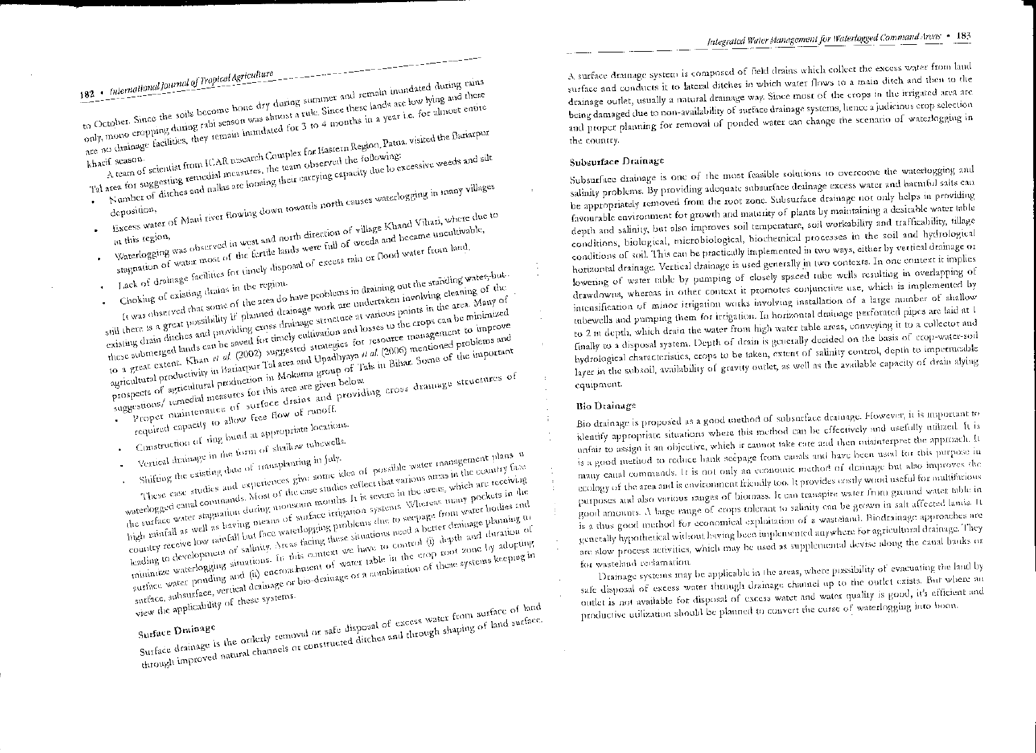182 • International Journal of Tropical Agriculture to October. Since the soils become bone dry during summer and remain mundated during rains only, mono cropping during rabi season was almost a rule. Since these lands are low lying and there our), more seeping same , and sensor was accounted for 3 to 4 months in a year i.e. for almost entire cu, staatus.<br>A team of scientist from ICAR research Complex for Eastern Region, Patna, visited the Bariarpur. kharif season.

Tal area for suggesting remedial measures, the team observed the following: also the one suggesting communities in the carrying capacity due to excessive weeds and silt

- 
- .<br>Excess water of Mani river flowing down towards north causes waterlogging in many villages Waterlogging was observed in west and north direction of village Khand Vihari, where due to
- stagnation of water most of the fertile lands were full of weeds and became uncultivable,
- Lack of drainage facilities for timely disposal of excess rain or flood water from land,
- It was observed that some of the area do have problems in draining out the standing water-but-Choking of existing drains in the region-

still there is a great possibility if planned drainage work are undertaken involving cleaning of the existing drain ditches and providing cross drainage structure at various points in the area. Many of existing drain ditches and providing cross drainage structure at various points in the area. Many of colours show there are providing and for timely cultivation and losses to the crops can be minimized these submerged lands can be saved for timely cultivation and losses to the crops can be minimized these subtracts of many call of al. (2002) suggested strategies for resource management to improve agency where the community in Bariarpur Tal area and Upadbyaya et al. (2006) mentioned problems and expression production in Mokama group of Tals in Bihar. Some of the important

proper maintenance of surface drains and providing cross dramage structures of suggestions/ temedial measures for this area are given below.

- required capacity to allow free flow of runoff. Construction of ring bund at appropriate locations.
- 
- Vertical drainage in the form of shallow tubewells.
- These case studies and experiences give some idea of possible water management plans in

waterlogged canal commands. Most of the case studies reflect that various areas in the country face the surface water stagnation during monsoon months. It is severe in the areas, which are receiving the surface wave engineers shown the contract irrigation systems Whereas many pockets in the high rainfall as well as having means of surface irrigation systems Whereas many pockets in the country receive low randall but face waterlogging problems due to seepage from water hodies and Louis experience of salinity. Areas facing these situations need a better drainage planning to development of salinity. Areas facing these situations need a better drainage planning to minimize waterlogging situations. In this context we have to control (i) depth and duration of minimize waterlogging situations. In this context we have to control (i) depth and duration of surface water ponding and (ii) encroachment of water table in the crop root zone by adopting surman News Property and the property of the desired of the systems keeping in

view the applicability of these systems.

Surface drainage is the orderly temoval or safe disposal of excess water from surface of land current streams is the streams contract of constructed ditches and through shaping of land surface.

A surface dramage system is composed of field drains which collect the excess water from land surface and conducts it to lateral ditches in which water flows to a main ditch and then to the drainage outlet, usually a natural drainage way. Since most of the crops in the irrigated area are being damaged due to non-availability of surface drainage systems, hence a judicious crop selection and proper planning for removal of ponded water can change the scenario of waterlogging in the country.

### Subsurface Drainage

Subsurface drainage is one of the most feasible solutions to overcome the waterlogging and salinity problems. By providing adequate subsurface drainage excess water and harmful salts can be appropriately removed from the root zone. Subsurface drainage not only helps in providing favourable environment for growth and maturity of plants by maintaining a desirable water table depth and salinity, but also improves soil temperature, soil workability and trafficability, tillage conditions, biological, microbiological, biochemical processes in the soil and hydrological conditions of soil. This can be practically implemented in two ways, either by vertical drainage or horizontal drainage. Vertical drainage is used generally in two contexts. In one context it implies lowering of water table by pumping of closely spaced tube wells resulting in overlapping of drawdowns, whereas in other context it promotes conjunctive use, which is implemented by intensification of minor irrigation works involving installation of a large number of shallow tubewells and pumping them for ittigation. In horizontal drainage perforated pipes are laid at 1 to 2 m depth, which drain the water from high water table areas, conveying it to a collector and finally to a disposal system. Depth of drain is generally decided on the basis of erop-water-soil hydrological characteristics, crops to be taken, extent of salinity control, depth to impermeable layer in the subsoil, availability of gravity outlet, as well as the available capacity of drain alying equipment.

### Bio Drainage

Bio drainage is proposed as a good method of subsurface drainage. However, it is important to identify appropriate situations where this method can be effectively and usefully utilized. It is unfair to assign it an objective, which ir cannot take care and then misinterpret the approach. It is a good method to reduce bank seepage from canals and have been used for this purpose in many canal commands. It is not only an economic method of drainage but also improves the ecology of the area and is environment friendly too. It provides costly wood useful for multifarious purposes and also various ranges of biomass. It can transpire water from ground water table in good amounts. A large range of crops tolerant to salinity can be grown in salt affected lands. It is a thus good muthod for economical exploitation of a wasteland. Biodrainage approaches are genetally hypothetical without having been implemented anywhere for agricultural drainage. They are slow process activities, which may be used as supplemental devise along the canal banks or for wasteland reclamation.

Drainage systems may be applicable in the areas, where possibility of evacuating the land by safe disposal of excess water through dramage channel up to the outlet exists. But where an outlet is not available for disposal of excess water and water quality is good, it's efficient and productive utilization should be planned to convert the curse of waterlogging into boom.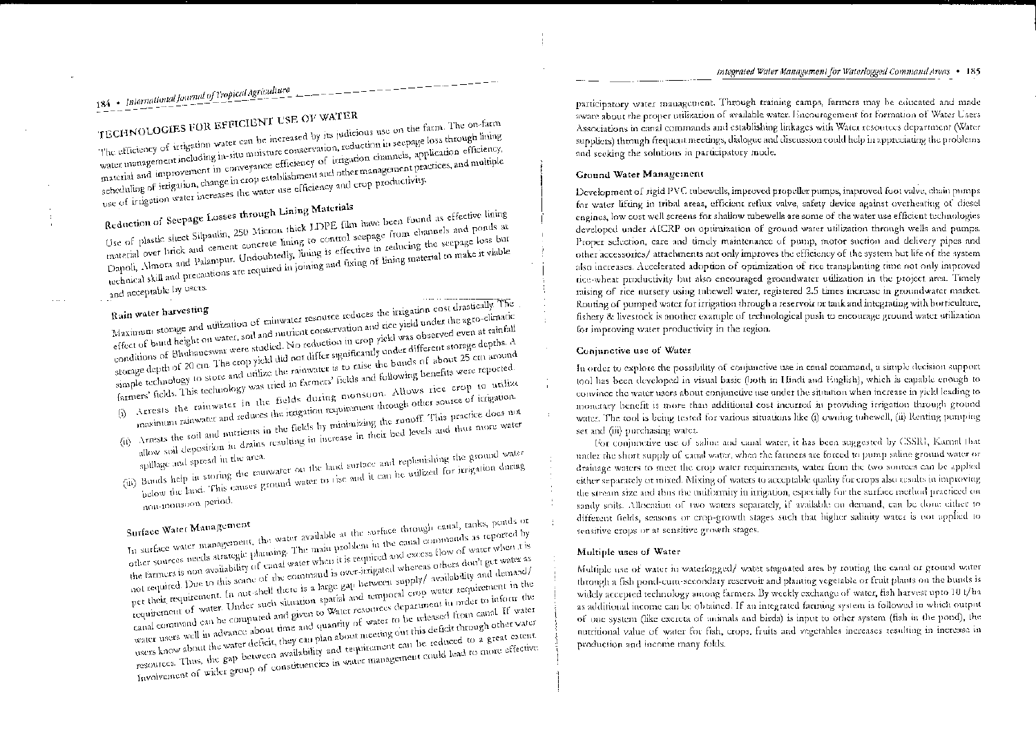# 184 • International Journal of Tropical Agriculture

TECHNOLOGIES FOR EFFICIENT USE OF WATER The efficiency of irrigation water can be increased by its judicious use on the farm. The on-farm water management including in-situ moisture conservation, reduction in seepage loss through lining material and improvement in conveyance efficiency of irrigation channels, application efficiency, scheduling of irrigation, change in crop establishment and other management practices, and multiple use of irtigation water increases the water use efficiency and crop productivity.

Reduction of Seepage Losses through Lining Materials Use of plastic sheet Silpaulin, 250 Micron thick LDPE film have been found as effective lining material over brick and cement concrete lining to control scepage from channels and ponds at Dapoli, Almora and Palampur. Undoubtedly, lining is effective in reducing the seepage loss but rechnical skill and precautions are required in joining and fixing of lining material to make it viable

and acceptable by users.

Maximum storage and utilization of rainwater resource reduces the irrigation cost drastically. The effect of bund height on water, soil and nutrient conservation and rice yield under the agro-climatic conditions of Bhubaneswar were studied. No reduction in crop yield was observed even at rainfall storage depth of 20 cm. The crop yield did not differ significantly under different storage depths. A simple technology to store and utilize the rainwater is to raise the bunds of about 25 cm around farmers' fields. This technology was tried in farmers' fields and following benefits were reported. (i) Arrests the rainwater in the fields during monsoon. Allows rice crop to utilize maximum rainwater and reduces the irrigation requirement through other source of irrigation.

- (ii) Arrests the soil and nutrients in the fields by minimizing the runoff. This practice does not
- allow soil deposition in drains resulting in increase in their bed levels and thus more water (iii) Bunds help in storing the raunwater on the hard surface and replenishing the ground water below the land. This causes ground water to use and it can be utilized for irrigation during
- non-monsoon period.

## Surface Water Management

In surface water management, the water available at the surface through canal, tanks, ponds or other sources needs strategic planning. The main problem in the canal commands as reported by the farmers is non-availability of canal water when it is required and excess flow of water when it is not required. Due to this some of the command is over-intigated whereas others don't get water as pet their requirement. In nut shell there is a large gap between supply/ availability and demand/ requirement of water. Under such situation spatial and temporal crop water requirement in the canal command can be computed and given to Water resources department in order to inform the water users well in advance about time and quantity of water to be released from canal. If water users know about the water deficit, they can plan about meeting out this deficit through other water resources. Thus, the gap between availability and tequirement can be reduced to a great extent Involvement of wider group of constituencies in water management could lead to more effective. participatory water management. Through training camps, farmers may be educated and made aware about the proper utilization of available water. Encouragement for formation of Water Users Associations in canal commands and establishing linkages with Water resources department (Water suppliers) through frequent meetings, dialogue and discussion could help in appreciating the problems and seeking the solutions in participatory mode.

### Ground Water Management

Development of rigid PVC tubewells, improved propeller pumps, improved foot valve, chain pumps for water lifting in tribal areas, efficient reflux valve, safety device against overheating of diesel engines, low cost well screens for shallow mbewells are some of the water use efficient technologies developed under AICRP on optimization of ground water utilization through wells and pumps. Proper selection, care and timely maintenance of pump, motor suction and delivery pipes and other accessories/ attachments not only improves the efficiency of the system but life of the system also increases. Accelerated adoption of optimization of rice transplanting time not only improved tice wheat productivity but also encouraged groundwater utilization in the project area. Timely mising of rice nursety using tubewell water, registered 2.5 times increase in groundwater market. Routing of pumped water for irrigation through a reservoir or tank and integrating with borticulture, fishery & livestock is another example of technological push to encourage ground water utilization for improving water productivity in the region.

#### Conjunctive use of Water

In order to explore the possibility of conjunctive use in canal command, a simple decision support tool has been developed in visual basic (both in Hindi and English), which is capable enough to convince the water users about conjunctive use under the situation when increase in yield leading to monetary benefit is more than additional cost incurred in providing irrigation through ground water. The tool is being tested for various situations like (i) owning tuhewell, (ii) Renting pumping set and (iii) purchasing water.

For conjunctive use of saline and canal water, it has been suggested by CSSRI, Karnal that under the short supply of canal water, when the farmers are forced to pump saline ground water or drainage waters to meet the crop water requirements, water from the two sources can be applied either separately ot mixed. Mixing of waters to acceptable quality for crops also results in improving the stream size and thus the uniformity in irrigation, especially for the surface method practiced on sandy soils. Allocation of two waters separately, if available on demand, can be done either to different fields, seasons or crop-growth stages such that higher salinity water is not applied to sensitive crops or at sensitive growth stages.

#### Multiple uses of Water

Multiple use of water in waterlogged/ water stagnated area by routing the canal or ground water through a fish pond-cum-secondary reservoir and planting vegetable or fruit plants on the bunds is widely accepted technology among farmers. By weekly exchange of water, fish harvest upto 10 t/ha as additional income can be obtained. If an integrated farming system is followed in which output of one system (like excreta of animals and birds) is input to other system (fish in the pond), the nutritional value of water for fish, crops, fruits and vegetables increases resulting in increase in production and income many folds.